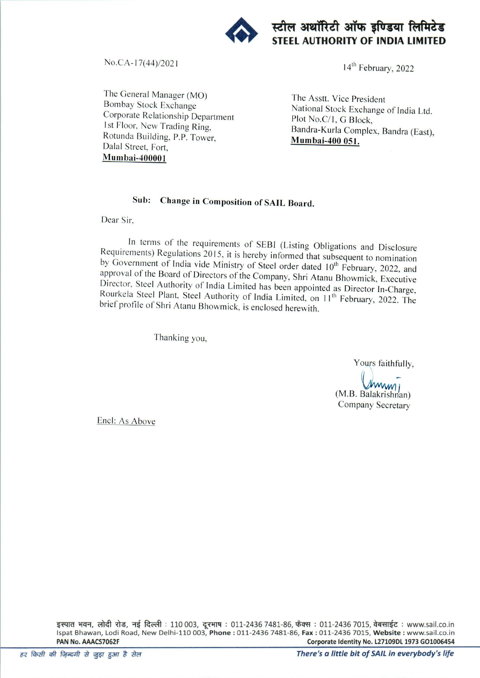

स्टील अथॉरिटी ऑफ इण्डिया लिमिटेड STEEL AUTHORITY OF INDIA LIMITED

No.CA-17(44)/2021 14<sup>th</sup> February, 2022

The General Manager (MO) Bombay Stock Exchange Corporate Relationship Department 1st Floor, New Trading Ring, Rotunda Building. P.P. Tower, Dalai Street. Fort.  $M$ umbai-400001

The Asstt. Vice President National Stock Exchange of India Ltd Plot No.C/1, G Block, Bandra-Kuria Complex, Bandra (East), Mumbai-400 051.

## Sub; Change in Composition of SAIL Board.

Dear Sir,

In terms of the requirements of SEBI (Listing Obligations and Disclosure Requirements) Regulations 2015, it is hereby informed that subsequent to nomination by Government of India vide Ministry of Steel order dated 10<sup>th</sup> February, 2022, and approval of the Board of Directors of the Company, Shri Atanu Bhowmick, Executive Director, Steel Authority of India Limited has been appointed as Director In-Charge, Rourkela Steel Plant, Steel Authority of India Limited, on 11<sup>th</sup> February, 2022. The brief piofile of Shri Atanu Bhowmick, is enclosed herewith.

Thanking you,

Yours faithfully,

(M.B. Balakrishnan) Company Secretary

Encl: As Above